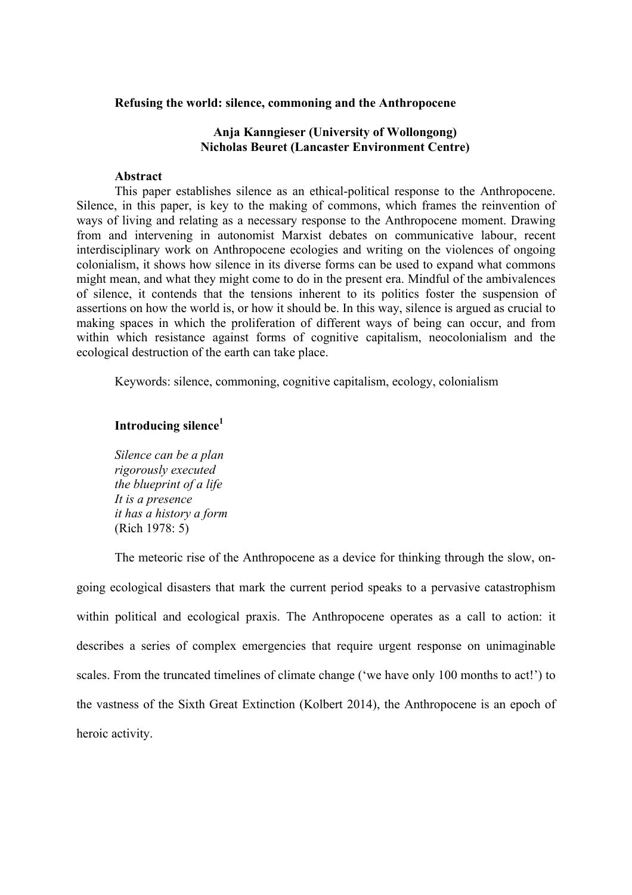#### **Refusing the world: silence, commoning and the Anthropocene**

## **Anja Kanngieser (University of Wollongong) Nicholas Beuret (Lancaster Environment Centre)**

#### **Abstract**

This paper establishes silence as an ethical-political response to the Anthropocene. Silence, in this paper, is key to the making of commons, which frames the reinvention of ways of living and relating as a necessary response to the Anthropocene moment. Drawing from and intervening in autonomist Marxist debates on communicative labour, recent interdisciplinary work on Anthropocene ecologies and writing on the violences of ongoing colonialism, it shows how silence in its diverse forms can be used to expand what commons might mean, and what they might come to do in the present era. Mindful of the ambivalences of silence, it contends that the tensions inherent to its politics foster the suspension of assertions on how the world is, or how it should be. In this way, silence is argued as crucial to making spaces in which the proliferation of different ways of being can occur, and from within which resistance against forms of cognitive capitalism, neocolonialism and the ecological destruction of the earth can take place.

Keywords: silence, commoning, cognitive capitalism, ecology, colonialism

# **Introducing silence<sup>1</sup>**

*Silence can be a plan rigorously executed the blueprint of a life It is a presence it has a history a form* (Rich 1978: 5)

The meteoric rise of the Anthropocene as a device for thinking through the slow, ongoing ecological disasters that mark the current period speaks to a pervasive catastrophism within political and ecological praxis. The Anthropocene operates as a call to action: it describes a series of complex emergencies that require urgent response on unimaginable scales. From the truncated timelines of climate change ('we have only 100 months to act!') to the vastness of the Sixth Great Extinction (Kolbert 2014), the Anthropocene is an epoch of heroic activity.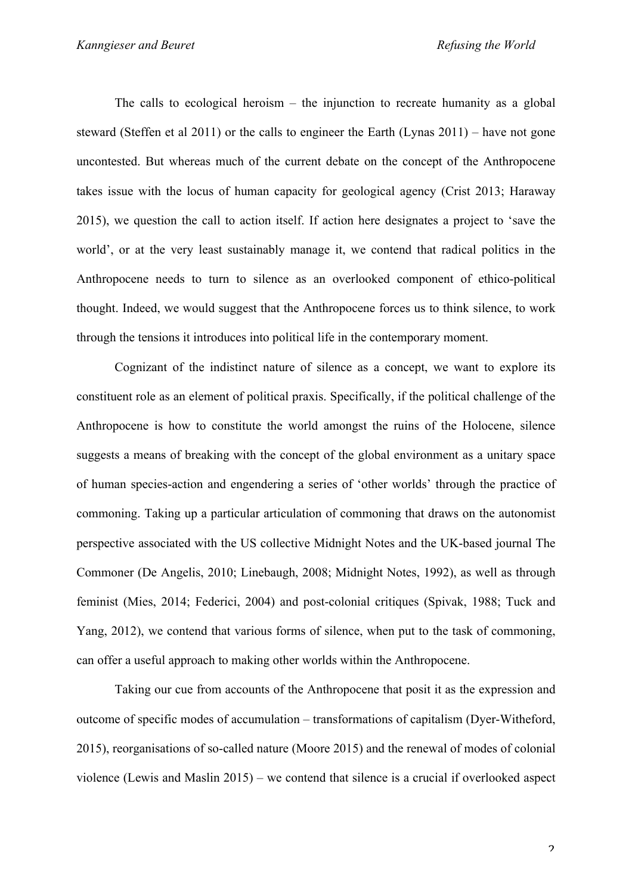The calls to ecological heroism – the injunction to recreate humanity as a global steward (Steffen et al 2011) or the calls to engineer the Earth (Lynas 2011) – have not gone uncontested. But whereas much of the current debate on the concept of the Anthropocene takes issue with the locus of human capacity for geological agency (Crist 2013; Haraway 2015), we question the call to action itself. If action here designates a project to 'save the world', or at the very least sustainably manage it, we contend that radical politics in the Anthropocene needs to turn to silence as an overlooked component of ethico-political thought. Indeed, we would suggest that the Anthropocene forces us to think silence, to work through the tensions it introduces into political life in the contemporary moment.

Cognizant of the indistinct nature of silence as a concept, we want to explore its constituent role as an element of political praxis. Specifically, if the political challenge of the Anthropocene is how to constitute the world amongst the ruins of the Holocene, silence suggests a means of breaking with the concept of the global environment as a unitary space of human species-action and engendering a series of 'other worlds' through the practice of commoning. Taking up a particular articulation of commoning that draws on the autonomist perspective associated with the US collective Midnight Notes and the UK-based journal The Commoner (De Angelis, 2010; Linebaugh, 2008; Midnight Notes, 1992), as well as through feminist (Mies, 2014; Federici, 2004) and post-colonial critiques (Spivak, 1988; Tuck and Yang, 2012), we contend that various forms of silence, when put to the task of commoning, can offer a useful approach to making other worlds within the Anthropocene.

Taking our cue from accounts of the Anthropocene that posit it as the expression and outcome of specific modes of accumulation – transformations of capitalism (Dyer-Witheford, 2015), reorganisations of so-called nature (Moore 2015) and the renewal of modes of colonial violence (Lewis and Maslin 2015) – we contend that silence is a crucial if overlooked aspect

 $\overline{\mathcal{L}}$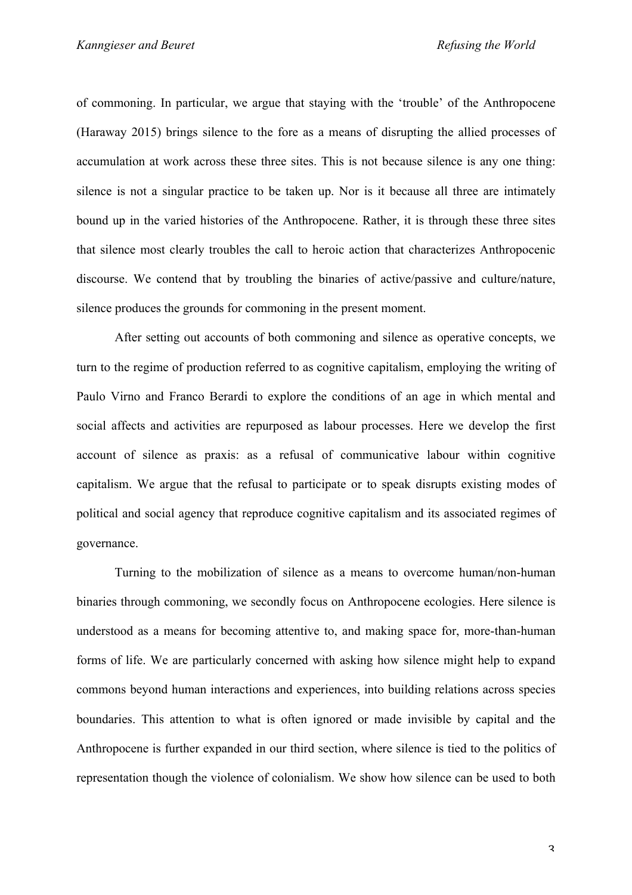of commoning. In particular, we argue that staying with the 'trouble' of the Anthropocene (Haraway 2015) brings silence to the fore as a means of disrupting the allied processes of accumulation at work across these three sites. This is not because silence is any one thing: silence is not a singular practice to be taken up. Nor is it because all three are intimately bound up in the varied histories of the Anthropocene. Rather, it is through these three sites that silence most clearly troubles the call to heroic action that characterizes Anthropocenic discourse. We contend that by troubling the binaries of active/passive and culture/nature, silence produces the grounds for commoning in the present moment.

After setting out accounts of both commoning and silence as operative concepts, we turn to the regime of production referred to as cognitive capitalism, employing the writing of Paulo Virno and Franco Berardi to explore the conditions of an age in which mental and social affects and activities are repurposed as labour processes. Here we develop the first account of silence as praxis: as a refusal of communicative labour within cognitive capitalism. We argue that the refusal to participate or to speak disrupts existing modes of political and social agency that reproduce cognitive capitalism and its associated regimes of governance.

Turning to the mobilization of silence as a means to overcome human/non-human binaries through commoning, we secondly focus on Anthropocene ecologies. Here silence is understood as a means for becoming attentive to, and making space for, more-than-human forms of life. We are particularly concerned with asking how silence might help to expand commons beyond human interactions and experiences, into building relations across species boundaries. This attention to what is often ignored or made invisible by capital and the Anthropocene is further expanded in our third section, where silence is tied to the politics of representation though the violence of colonialism. We show how silence can be used to both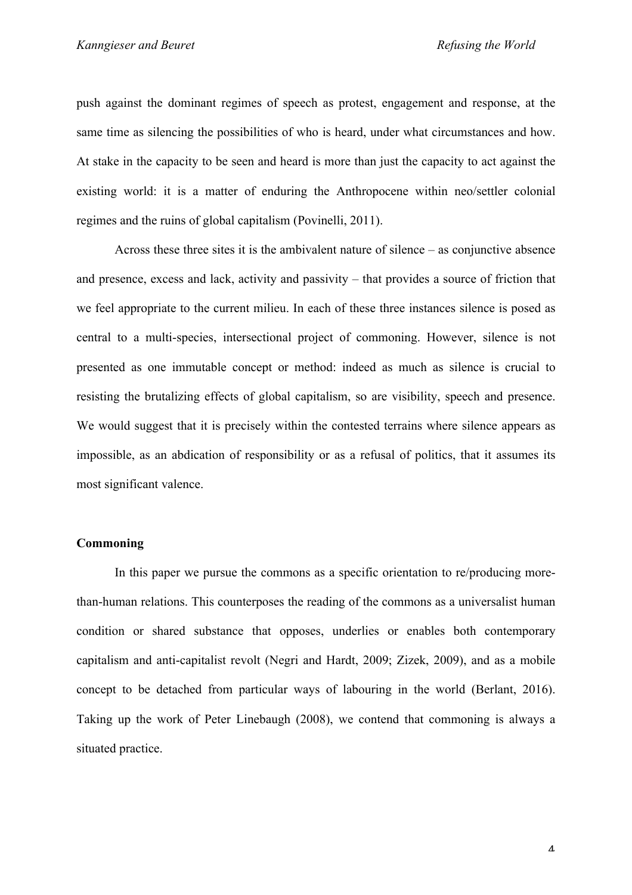push against the dominant regimes of speech as protest, engagement and response, at the same time as silencing the possibilities of who is heard, under what circumstances and how. At stake in the capacity to be seen and heard is more than just the capacity to act against the existing world: it is a matter of enduring the Anthropocene within neo/settler colonial regimes and the ruins of global capitalism (Povinelli, 2011).

Across these three sites it is the ambivalent nature of silence – as conjunctive absence and presence, excess and lack, activity and passivity – that provides a source of friction that we feel appropriate to the current milieu. In each of these three instances silence is posed as central to a multi-species, intersectional project of commoning. However, silence is not presented as one immutable concept or method: indeed as much as silence is crucial to resisting the brutalizing effects of global capitalism, so are visibility, speech and presence. We would suggest that it is precisely within the contested terrains where silence appears as impossible, as an abdication of responsibility or as a refusal of politics, that it assumes its most significant valence.

# **Commoning**

In this paper we pursue the commons as a specific orientation to re/producing morethan-human relations. This counterposes the reading of the commons as a universalist human condition or shared substance that opposes, underlies or enables both contemporary capitalism and anti-capitalist revolt (Negri and Hardt, 2009; Zizek, 2009), and as a mobile concept to be detached from particular ways of labouring in the world (Berlant, 2016). Taking up the work of Peter Linebaugh (2008), we contend that commoning is always a situated practice.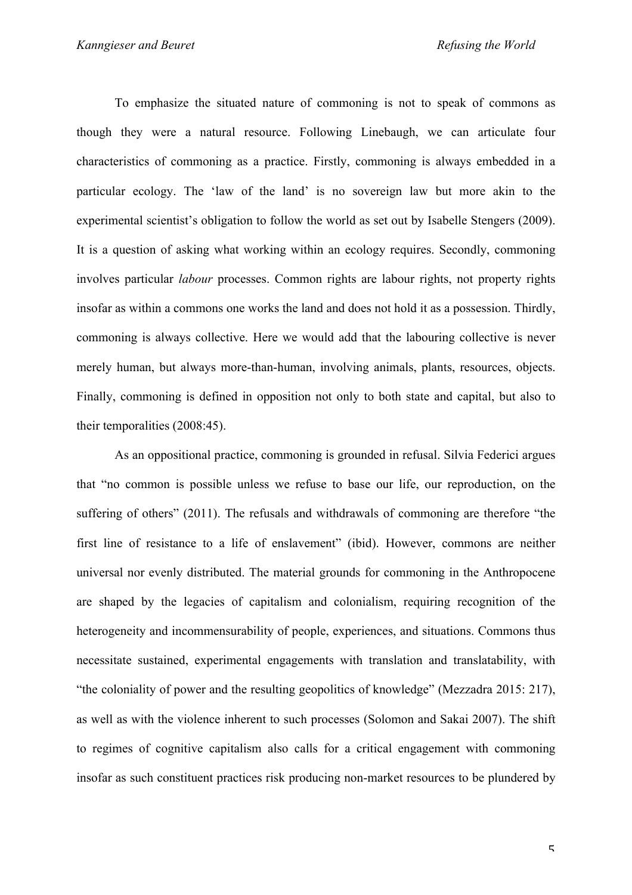To emphasize the situated nature of commoning is not to speak of commons as though they were a natural resource. Following Linebaugh, we can articulate four characteristics of commoning as a practice. Firstly, commoning is always embedded in a particular ecology. The 'law of the land' is no sovereign law but more akin to the experimental scientist's obligation to follow the world as set out by Isabelle Stengers (2009). It is a question of asking what working within an ecology requires. Secondly, commoning involves particular *labour* processes. Common rights are labour rights, not property rights insofar as within a commons one works the land and does not hold it as a possession. Thirdly, commoning is always collective. Here we would add that the labouring collective is never merely human, but always more-than-human, involving animals, plants, resources, objects. Finally, commoning is defined in opposition not only to both state and capital, but also to their temporalities (2008:45).

As an oppositional practice, commoning is grounded in refusal. Silvia Federici argues that "no common is possible unless we refuse to base our life, our reproduction, on the suffering of others" (2011). The refusals and withdrawals of commoning are therefore "the first line of resistance to a life of enslavement" (ibid). However, commons are neither universal nor evenly distributed. The material grounds for commoning in the Anthropocene are shaped by the legacies of capitalism and colonialism, requiring recognition of the heterogeneity and incommensurability of people, experiences, and situations. Commons thus necessitate sustained, experimental engagements with translation and translatability, with "the coloniality of power and the resulting geopolitics of knowledge" (Mezzadra 2015: 217), as well as with the violence inherent to such processes (Solomon and Sakai 2007). The shift to regimes of cognitive capitalism also calls for a critical engagement with commoning insofar as such constituent practices risk producing non-market resources to be plundered by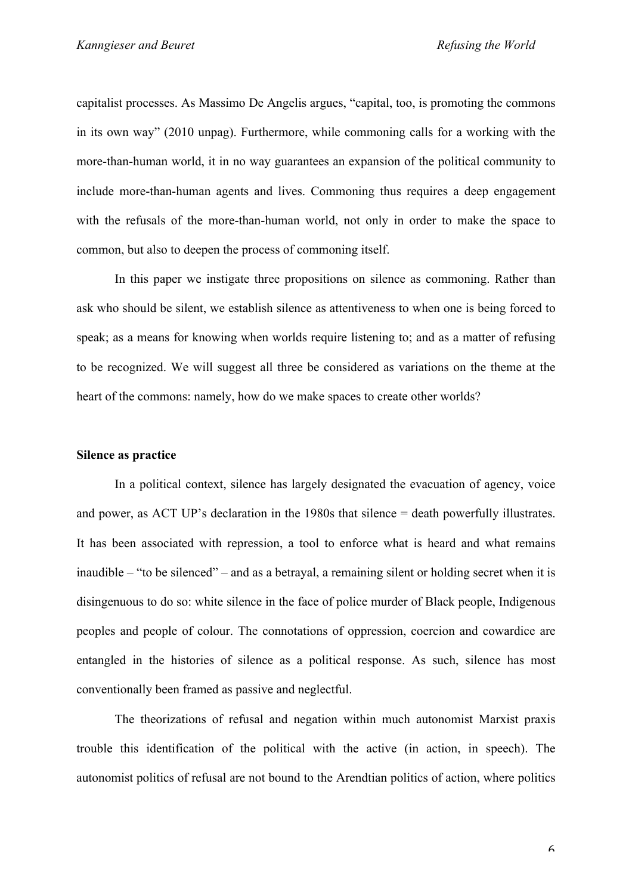capitalist processes. As Massimo De Angelis argues, "capital, too, is promoting the commons in its own way" (2010 unpag). Furthermore, while commoning calls for a working with the more-than-human world, it in no way guarantees an expansion of the political community to include more-than-human agents and lives. Commoning thus requires a deep engagement with the refusals of the more-than-human world, not only in order to make the space to common, but also to deepen the process of commoning itself.

In this paper we instigate three propositions on silence as commoning. Rather than ask who should be silent, we establish silence as attentiveness to when one is being forced to speak; as a means for knowing when worlds require listening to; and as a matter of refusing to be recognized. We will suggest all three be considered as variations on the theme at the heart of the commons: namely, how do we make spaces to create other worlds?

### **Silence as practice**

In a political context, silence has largely designated the evacuation of agency, voice and power, as ACT UP's declaration in the 1980s that silence = death powerfully illustrates. It has been associated with repression, a tool to enforce what is heard and what remains inaudible – "to be silenced" – and as a betrayal, a remaining silent or holding secret when it is disingenuous to do so: white silence in the face of police murder of Black people, Indigenous peoples and people of colour. The connotations of oppression, coercion and cowardice are entangled in the histories of silence as a political response. As such, silence has most conventionally been framed as passive and neglectful.

The theorizations of refusal and negation within much autonomist Marxist praxis trouble this identification of the political with the active (in action, in speech). The autonomist politics of refusal are not bound to the Arendtian politics of action, where politics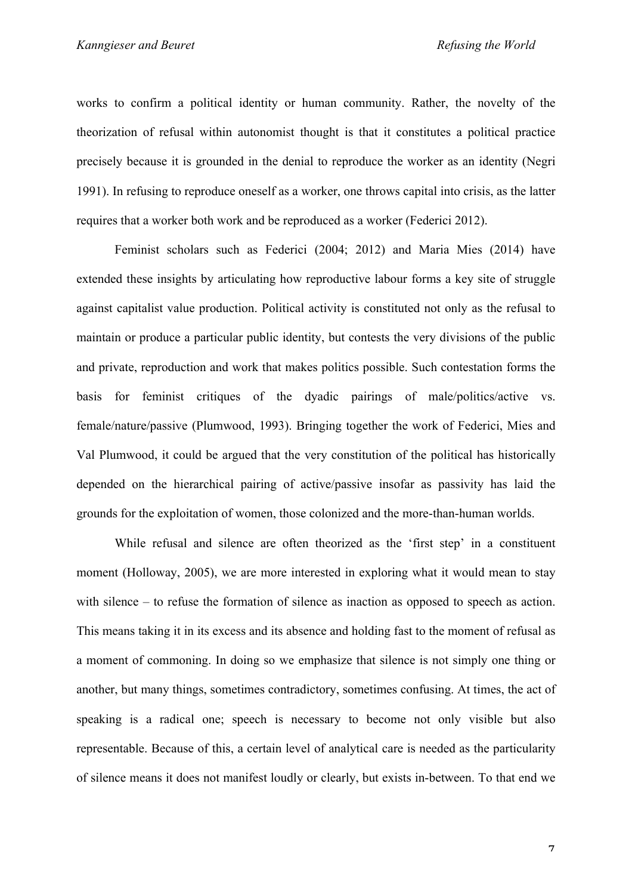works to confirm a political identity or human community. Rather, the novelty of the theorization of refusal within autonomist thought is that it constitutes a political practice precisely because it is grounded in the denial to reproduce the worker as an identity (Negri 1991). In refusing to reproduce oneself as a worker, one throws capital into crisis, as the latter requires that a worker both work and be reproduced as a worker (Federici 2012).

Feminist scholars such as Federici (2004; 2012) and Maria Mies (2014) have extended these insights by articulating how reproductive labour forms a key site of struggle against capitalist value production. Political activity is constituted not only as the refusal to maintain or produce a particular public identity, but contests the very divisions of the public and private, reproduction and work that makes politics possible. Such contestation forms the basis for feminist critiques of the dyadic pairings of male/politics/active vs. female/nature/passive (Plumwood, 1993). Bringing together the work of Federici, Mies and Val Plumwood, it could be argued that the very constitution of the political has historically depended on the hierarchical pairing of active/passive insofar as passivity has laid the grounds for the exploitation of women, those colonized and the more-than-human worlds.

While refusal and silence are often theorized as the 'first step' in a constituent moment (Holloway, 2005), we are more interested in exploring what it would mean to stay with silence – to refuse the formation of silence as inaction as opposed to speech as action. This means taking it in its excess and its absence and holding fast to the moment of refusal as a moment of commoning. In doing so we emphasize that silence is not simply one thing or another, but many things, sometimes contradictory, sometimes confusing. At times, the act of speaking is a radical one; speech is necessary to become not only visible but also representable. Because of this, a certain level of analytical care is needed as the particularity of silence means it does not manifest loudly or clearly, but exists in-between. To that end we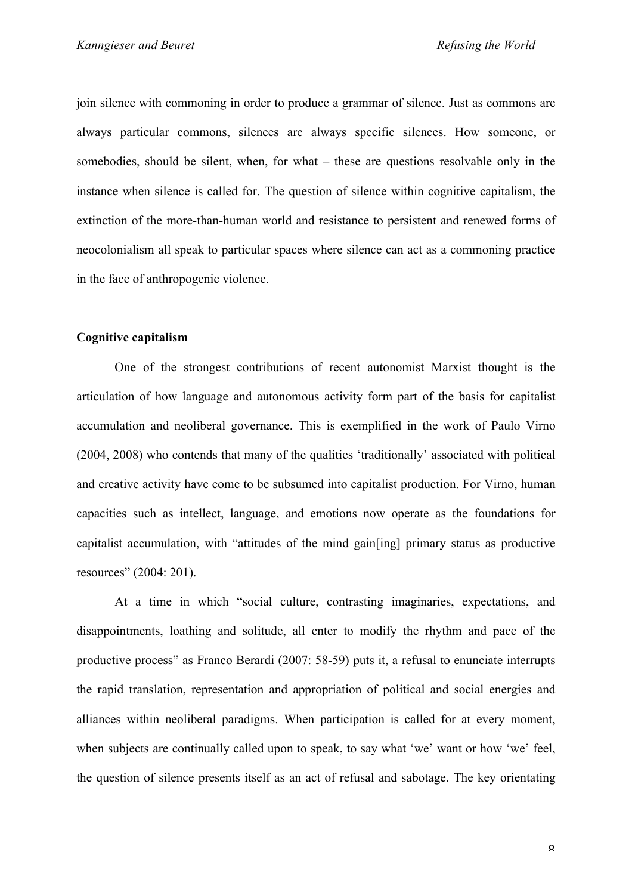join silence with commoning in order to produce a grammar of silence. Just as commons are always particular commons, silences are always specific silences. How someone, or somebodies, should be silent, when, for what – these are questions resolvable only in the instance when silence is called for. The question of silence within cognitive capitalism, the extinction of the more-than-human world and resistance to persistent and renewed forms of neocolonialism all speak to particular spaces where silence can act as a commoning practice in the face of anthropogenic violence.

#### **Cognitive capitalism**

One of the strongest contributions of recent autonomist Marxist thought is the articulation of how language and autonomous activity form part of the basis for capitalist accumulation and neoliberal governance. This is exemplified in the work of Paulo Virno (2004, 2008) who contends that many of the qualities 'traditionally' associated with political and creative activity have come to be subsumed into capitalist production. For Virno, human capacities such as intellect, language, and emotions now operate as the foundations for capitalist accumulation, with "attitudes of the mind gain[ing] primary status as productive resources" (2004: 201).

At a time in which "social culture, contrasting imaginaries, expectations, and disappointments, loathing and solitude, all enter to modify the rhythm and pace of the productive process" as Franco Berardi (2007: 58-59) puts it, a refusal to enunciate interrupts the rapid translation, representation and appropriation of political and social energies and alliances within neoliberal paradigms. When participation is called for at every moment, when subjects are continually called upon to speak, to say what 'we' want or how 'we' feel, the question of silence presents itself as an act of refusal and sabotage. The key orientating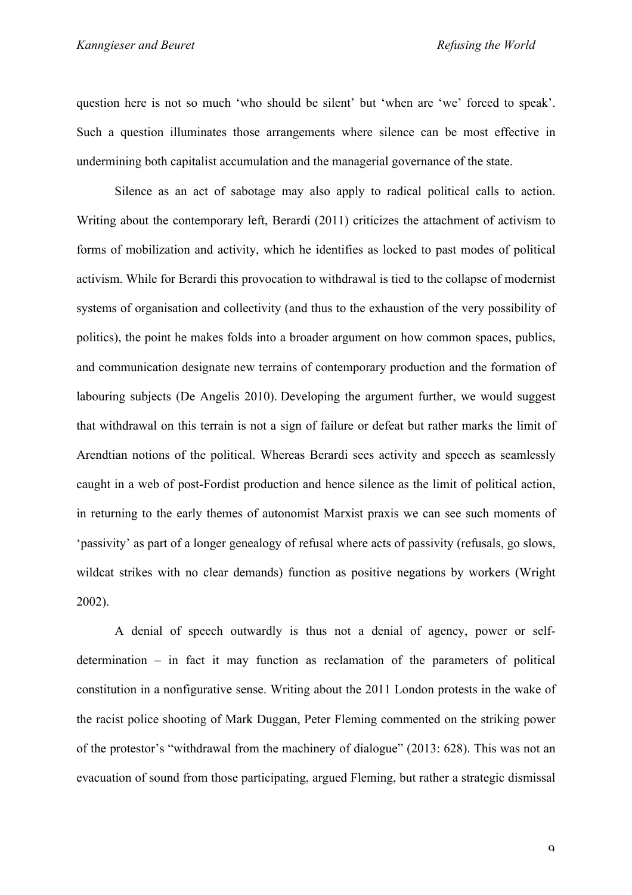question here is not so much 'who should be silent' but 'when are 'we' forced to speak'. Such a question illuminates those arrangements where silence can be most effective in undermining both capitalist accumulation and the managerial governance of the state.

Silence as an act of sabotage may also apply to radical political calls to action. Writing about the contemporary left, Berardi (2011) criticizes the attachment of activism to forms of mobilization and activity, which he identifies as locked to past modes of political activism. While for Berardi this provocation to withdrawal is tied to the collapse of modernist systems of organisation and collectivity (and thus to the exhaustion of the very possibility of politics), the point he makes folds into a broader argument on how common spaces, publics, and communication designate new terrains of contemporary production and the formation of labouring subjects (De Angelis 2010). Developing the argument further, we would suggest that withdrawal on this terrain is not a sign of failure or defeat but rather marks the limit of Arendtian notions of the political. Whereas Berardi sees activity and speech as seamlessly caught in a web of post-Fordist production and hence silence as the limit of political action, in returning to the early themes of autonomist Marxist praxis we can see such moments of 'passivity' as part of a longer genealogy of refusal where acts of passivity (refusals, go slows, wildcat strikes with no clear demands) function as positive negations by workers (Wright 2002).

A denial of speech outwardly is thus not a denial of agency, power or selfdetermination – in fact it may function as reclamation of the parameters of political constitution in a nonfigurative sense. Writing about the 2011 London protests in the wake of the racist police shooting of Mark Duggan, Peter Fleming commented on the striking power of the protestor's "withdrawal from the machinery of dialogue" (2013: 628). This was not an evacuation of sound from those participating, argued Fleming, but rather a strategic dismissal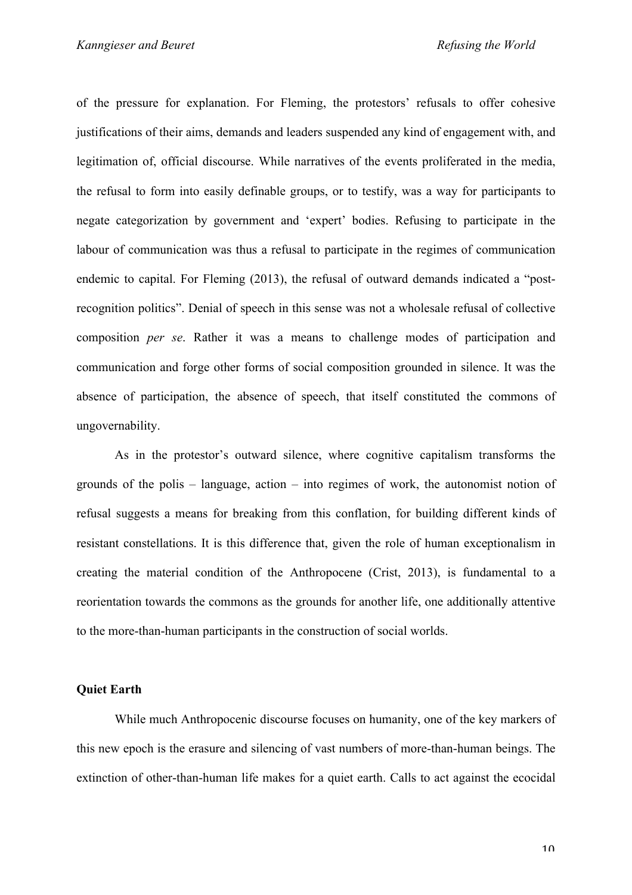of the pressure for explanation. For Fleming, the protestors' refusals to offer cohesive justifications of their aims, demands and leaders suspended any kind of engagement with, and legitimation of, official discourse. While narratives of the events proliferated in the media, the refusal to form into easily definable groups, or to testify, was a way for participants to negate categorization by government and 'expert' bodies. Refusing to participate in the labour of communication was thus a refusal to participate in the regimes of communication endemic to capital. For Fleming (2013), the refusal of outward demands indicated a "postrecognition politics". Denial of speech in this sense was not a wholesale refusal of collective composition *per se*. Rather it was a means to challenge modes of participation and communication and forge other forms of social composition grounded in silence. It was the absence of participation, the absence of speech, that itself constituted the commons of ungovernability.

As in the protestor's outward silence, where cognitive capitalism transforms the grounds of the polis – language, action – into regimes of work, the autonomist notion of refusal suggests a means for breaking from this conflation, for building different kinds of resistant constellations. It is this difference that, given the role of human exceptionalism in creating the material condition of the Anthropocene (Crist, 2013), is fundamental to a reorientation towards the commons as the grounds for another life, one additionally attentive to the more-than-human participants in the construction of social worlds.

### **Quiet Earth**

While much Anthropocenic discourse focuses on humanity, one of the key markers of this new epoch is the erasure and silencing of vast numbers of more-than-human beings. The extinction of other-than-human life makes for a quiet earth. Calls to act against the ecocidal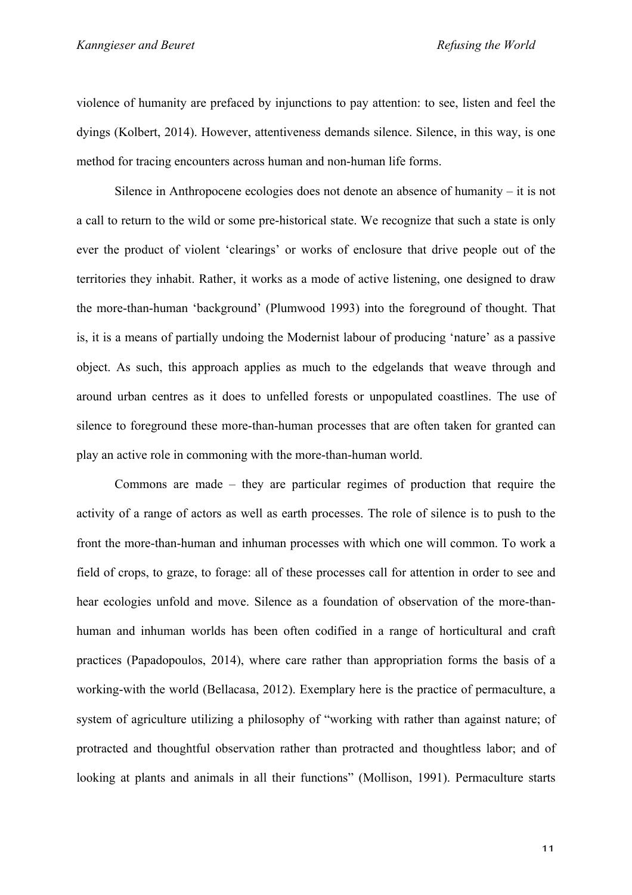violence of humanity are prefaced by injunctions to pay attention: to see, listen and feel the dyings (Kolbert, 2014). However, attentiveness demands silence. Silence, in this way, is one method for tracing encounters across human and non-human life forms.

Silence in Anthropocene ecologies does not denote an absence of humanity – it is not a call to return to the wild or some pre-historical state. We recognize that such a state is only ever the product of violent 'clearings' or works of enclosure that drive people out of the territories they inhabit. Rather, it works as a mode of active listening, one designed to draw the more-than-human 'background' (Plumwood 1993) into the foreground of thought. That is, it is a means of partially undoing the Modernist labour of producing 'nature' as a passive object. As such, this approach applies as much to the edgelands that weave through and around urban centres as it does to unfelled forests or unpopulated coastlines. The use of silence to foreground these more-than-human processes that are often taken for granted can play an active role in commoning with the more-than-human world.

Commons are made – they are particular regimes of production that require the activity of a range of actors as well as earth processes. The role of silence is to push to the front the more-than-human and inhuman processes with which one will common. To work a field of crops, to graze, to forage: all of these processes call for attention in order to see and hear ecologies unfold and move. Silence as a foundation of observation of the more-thanhuman and inhuman worlds has been often codified in a range of horticultural and craft practices (Papadopoulos, 2014), where care rather than appropriation forms the basis of a working-with the world (Bellacasa, 2012). Exemplary here is the practice of permaculture, a system of agriculture utilizing a philosophy of "working with rather than against nature; of protracted and thoughtful observation rather than protracted and thoughtless labor; and of looking at plants and animals in all their functions" (Mollison, 1991). Permaculture starts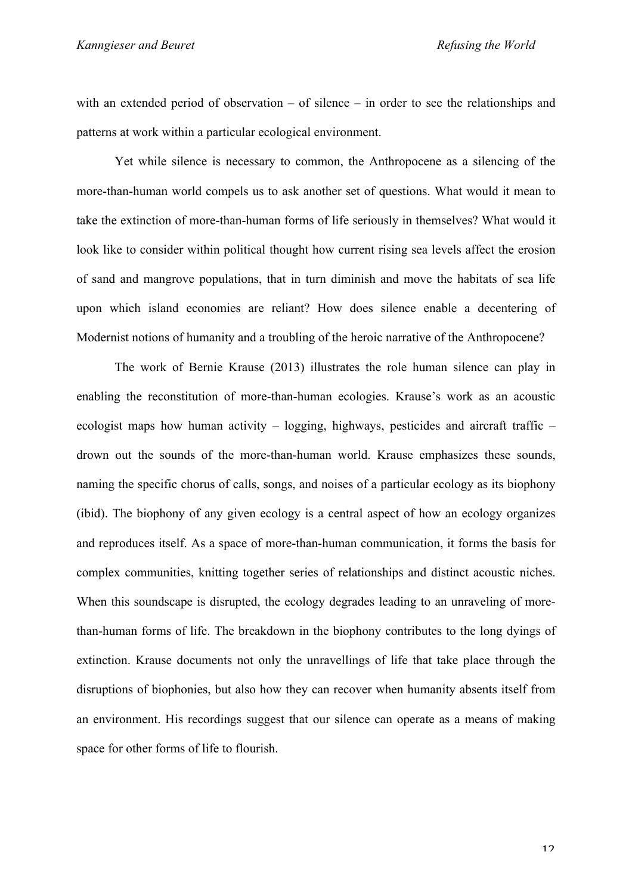with an extended period of observation – of silence – in order to see the relationships and patterns at work within a particular ecological environment.

Yet while silence is necessary to common, the Anthropocene as a silencing of the more-than-human world compels us to ask another set of questions. What would it mean to take the extinction of more-than-human forms of life seriously in themselves? What would it look like to consider within political thought how current rising sea levels affect the erosion of sand and mangrove populations, that in turn diminish and move the habitats of sea life upon which island economies are reliant? How does silence enable a decentering of Modernist notions of humanity and a troubling of the heroic narrative of the Anthropocene?

The work of Bernie Krause (2013) illustrates the role human silence can play in enabling the reconstitution of more-than-human ecologies. Krause's work as an acoustic ecologist maps how human activity – logging, highways, pesticides and aircraft traffic – drown out the sounds of the more-than-human world. Krause emphasizes these sounds, naming the specific chorus of calls, songs, and noises of a particular ecology as its biophony (ibid). The biophony of any given ecology is a central aspect of how an ecology organizes and reproduces itself. As a space of more-than-human communication, it forms the basis for complex communities, knitting together series of relationships and distinct acoustic niches. When this soundscape is disrupted, the ecology degrades leading to an unraveling of morethan-human forms of life. The breakdown in the biophony contributes to the long dyings of extinction. Krause documents not only the unravellings of life that take place through the disruptions of biophonies, but also how they can recover when humanity absents itself from an environment. His recordings suggest that our silence can operate as a means of making space for other forms of life to flourish.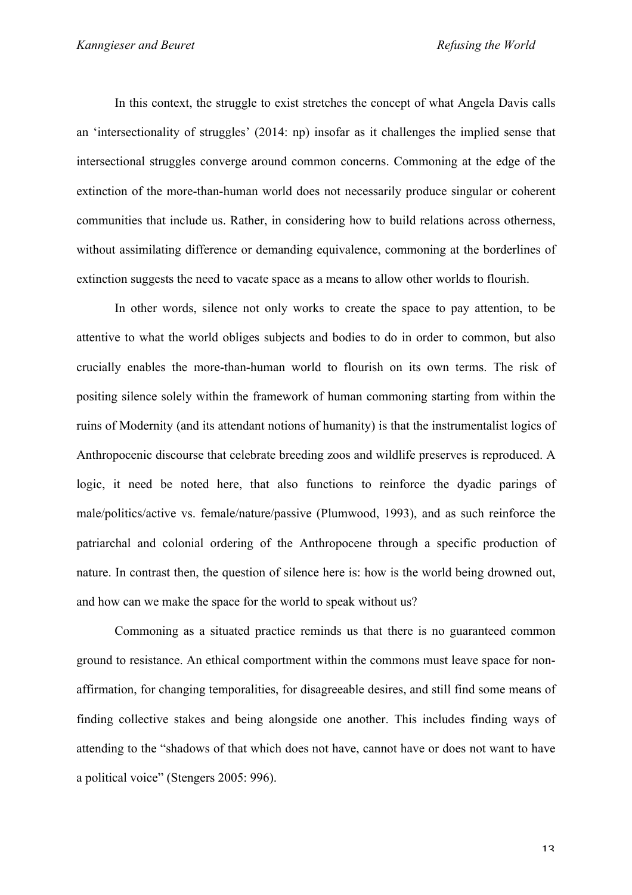In this context, the struggle to exist stretches the concept of what Angela Davis calls an 'intersectionality of struggles' (2014: np) insofar as it challenges the implied sense that intersectional struggles converge around common concerns. Commoning at the edge of the extinction of the more-than-human world does not necessarily produce singular or coherent communities that include us. Rather, in considering how to build relations across otherness, without assimilating difference or demanding equivalence, commoning at the borderlines of extinction suggests the need to vacate space as a means to allow other worlds to flourish.

In other words, silence not only works to create the space to pay attention, to be attentive to what the world obliges subjects and bodies to do in order to common, but also crucially enables the more-than-human world to flourish on its own terms. The risk of positing silence solely within the framework of human commoning starting from within the ruins of Modernity (and its attendant notions of humanity) is that the instrumentalist logics of Anthropocenic discourse that celebrate breeding zoos and wildlife preserves is reproduced. A logic, it need be noted here, that also functions to reinforce the dyadic parings of male/politics/active vs. female/nature/passive (Plumwood, 1993), and as such reinforce the patriarchal and colonial ordering of the Anthropocene through a specific production of nature. In contrast then, the question of silence here is: how is the world being drowned out, and how can we make the space for the world to speak without us?

Commoning as a situated practice reminds us that there is no guaranteed common ground to resistance. An ethical comportment within the commons must leave space for nonaffirmation, for changing temporalities, for disagreeable desires, and still find some means of finding collective stakes and being alongside one another. This includes finding ways of attending to the "shadows of that which does not have, cannot have or does not want to have a political voice" (Stengers 2005: 996).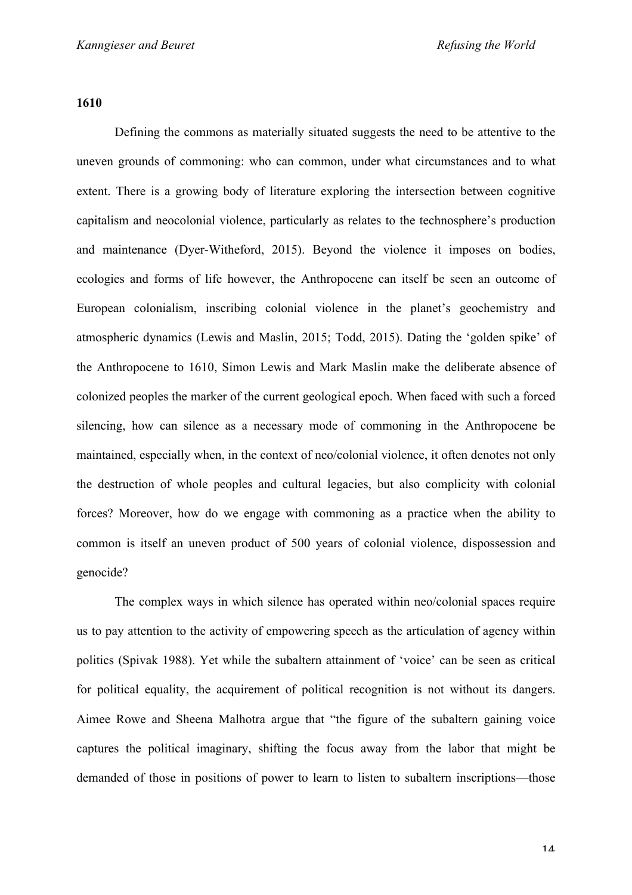**1610**

Defining the commons as materially situated suggests the need to be attentive to the uneven grounds of commoning: who can common, under what circumstances and to what extent. There is a growing body of literature exploring the intersection between cognitive capitalism and neocolonial violence, particularly as relates to the technosphere's production and maintenance (Dyer-Witheford, 2015). Beyond the violence it imposes on bodies, ecologies and forms of life however, the Anthropocene can itself be seen an outcome of European colonialism, inscribing colonial violence in the planet's geochemistry and atmospheric dynamics (Lewis and Maslin, 2015; Todd, 2015). Dating the 'golden spike' of the Anthropocene to 1610, Simon Lewis and Mark Maslin make the deliberate absence of colonized peoples the marker of the current geological epoch. When faced with such a forced silencing, how can silence as a necessary mode of commoning in the Anthropocene be maintained, especially when, in the context of neo/colonial violence, it often denotes not only the destruction of whole peoples and cultural legacies, but also complicity with colonial forces? Moreover, how do we engage with commoning as a practice when the ability to common is itself an uneven product of 500 years of colonial violence, dispossession and genocide?

The complex ways in which silence has operated within neo/colonial spaces require us to pay attention to the activity of empowering speech as the articulation of agency within politics (Spivak 1988). Yet while the subaltern attainment of 'voice' can be seen as critical for political equality, the acquirement of political recognition is not without its dangers. Aimee Rowe and Sheena Malhotra argue that "the figure of the subaltern gaining voice captures the political imaginary, shifting the focus away from the labor that might be demanded of those in positions of power to learn to listen to subaltern inscriptions—those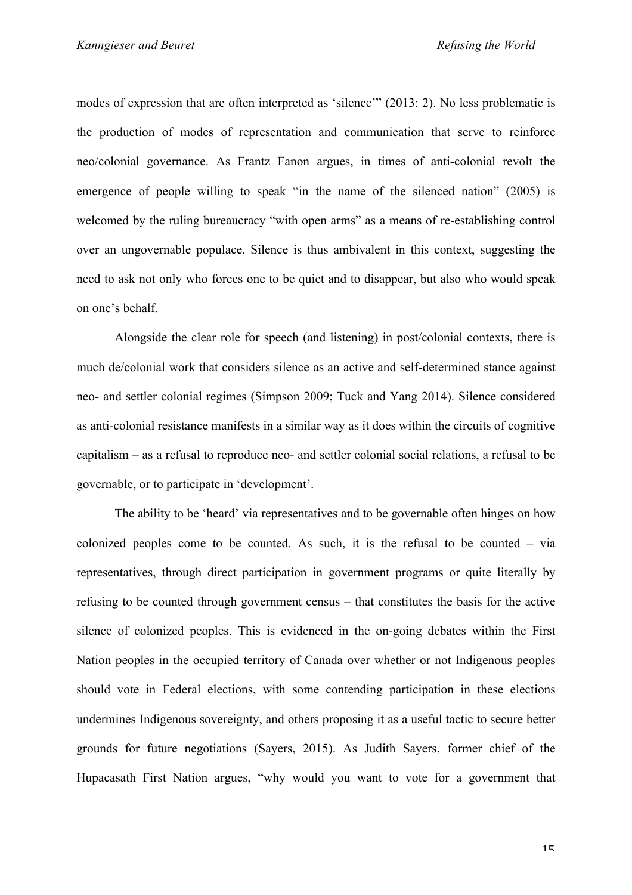modes of expression that are often interpreted as 'silence'" (2013: 2). No less problematic is the production of modes of representation and communication that serve to reinforce neo/colonial governance. As Frantz Fanon argues, in times of anti-colonial revolt the emergence of people willing to speak "in the name of the silenced nation" (2005) is welcomed by the ruling bureaucracy "with open arms" as a means of re-establishing control over an ungovernable populace. Silence is thus ambivalent in this context, suggesting the need to ask not only who forces one to be quiet and to disappear, but also who would speak on one's behalf.

Alongside the clear role for speech (and listening) in post/colonial contexts, there is much de/colonial work that considers silence as an active and self-determined stance against neo- and settler colonial regimes (Simpson 2009; Tuck and Yang 2014). Silence considered as anti-colonial resistance manifests in a similar way as it does within the circuits of cognitive capitalism – as a refusal to reproduce neo- and settler colonial social relations, a refusal to be governable, or to participate in 'development'.

The ability to be 'heard' via representatives and to be governable often hinges on how colonized peoples come to be counted. As such, it is the refusal to be counted – via representatives, through direct participation in government programs or quite literally by refusing to be counted through government census – that constitutes the basis for the active silence of colonized peoples. This is evidenced in the on-going debates within the First Nation peoples in the occupied territory of Canada over whether or not Indigenous peoples should vote in Federal elections, with some contending participation in these elections undermines Indigenous sovereignty, and others proposing it as a useful tactic to secure better grounds for future negotiations (Sayers, 2015). As Judith Sayers, former chief of the Hupacasath First Nation argues, "why would you want to vote for a government that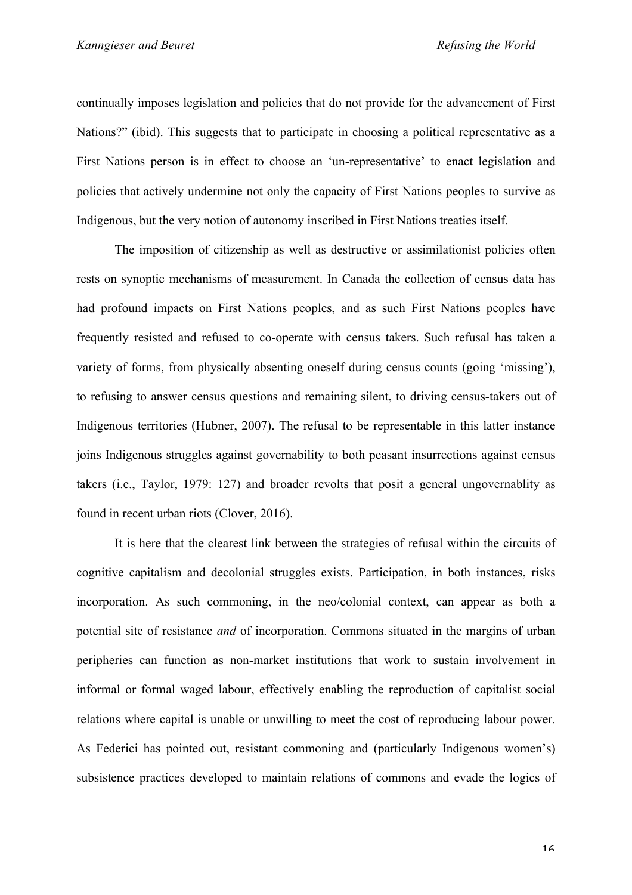continually imposes legislation and policies that do not provide for the advancement of First Nations?" (ibid). This suggests that to participate in choosing a political representative as a First Nations person is in effect to choose an 'un-representative' to enact legislation and policies that actively undermine not only the capacity of First Nations peoples to survive as Indigenous, but the very notion of autonomy inscribed in First Nations treaties itself.

The imposition of citizenship as well as destructive or assimilationist policies often rests on synoptic mechanisms of measurement. In Canada the collection of census data has had profound impacts on First Nations peoples, and as such First Nations peoples have frequently resisted and refused to co-operate with census takers. Such refusal has taken a variety of forms, from physically absenting oneself during census counts (going 'missing'), to refusing to answer census questions and remaining silent, to driving census-takers out of Indigenous territories (Hubner, 2007). The refusal to be representable in this latter instance joins Indigenous struggles against governability to both peasant insurrections against census takers (i.e., Taylor, 1979: 127) and broader revolts that posit a general ungovernablity as found in recent urban riots (Clover, 2016).

It is here that the clearest link between the strategies of refusal within the circuits of cognitive capitalism and decolonial struggles exists. Participation, in both instances, risks incorporation. As such commoning, in the neo/colonial context, can appear as both a potential site of resistance *and* of incorporation. Commons situated in the margins of urban peripheries can function as non-market institutions that work to sustain involvement in informal or formal waged labour, effectively enabling the reproduction of capitalist social relations where capital is unable or unwilling to meet the cost of reproducing labour power. As Federici has pointed out, resistant commoning and (particularly Indigenous women's) subsistence practices developed to maintain relations of commons and evade the logics of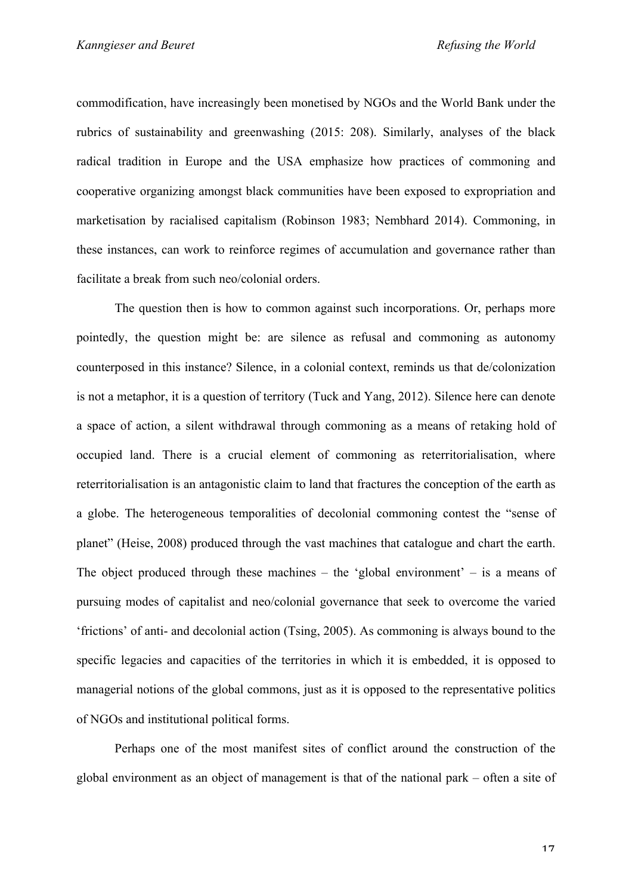commodification, have increasingly been monetised by NGOs and the World Bank under the rubrics of sustainability and greenwashing (2015: 208). Similarly, analyses of the black radical tradition in Europe and the USA emphasize how practices of commoning and cooperative organizing amongst black communities have been exposed to expropriation and marketisation by racialised capitalism (Robinson 1983; Nembhard 2014). Commoning, in these instances, can work to reinforce regimes of accumulation and governance rather than facilitate a break from such neo/colonial orders.

The question then is how to common against such incorporations. Or, perhaps more pointedly, the question might be: are silence as refusal and commoning as autonomy counterposed in this instance? Silence, in a colonial context, reminds us that de/colonization is not a metaphor, it is a question of territory (Tuck and Yang, 2012). Silence here can denote a space of action, a silent withdrawal through commoning as a means of retaking hold of occupied land. There is a crucial element of commoning as reterritorialisation, where reterritorialisation is an antagonistic claim to land that fractures the conception of the earth as a globe. The heterogeneous temporalities of decolonial commoning contest the "sense of planet" (Heise, 2008) produced through the vast machines that catalogue and chart the earth. The object produced through these machines – the 'global environment' – is a means of pursuing modes of capitalist and neo/colonial governance that seek to overcome the varied 'frictions' of anti- and decolonial action (Tsing, 2005). As commoning is always bound to the specific legacies and capacities of the territories in which it is embedded, it is opposed to managerial notions of the global commons, just as it is opposed to the representative politics of NGOs and institutional political forms.

Perhaps one of the most manifest sites of conflict around the construction of the global environment as an object of management is that of the national park – often a site of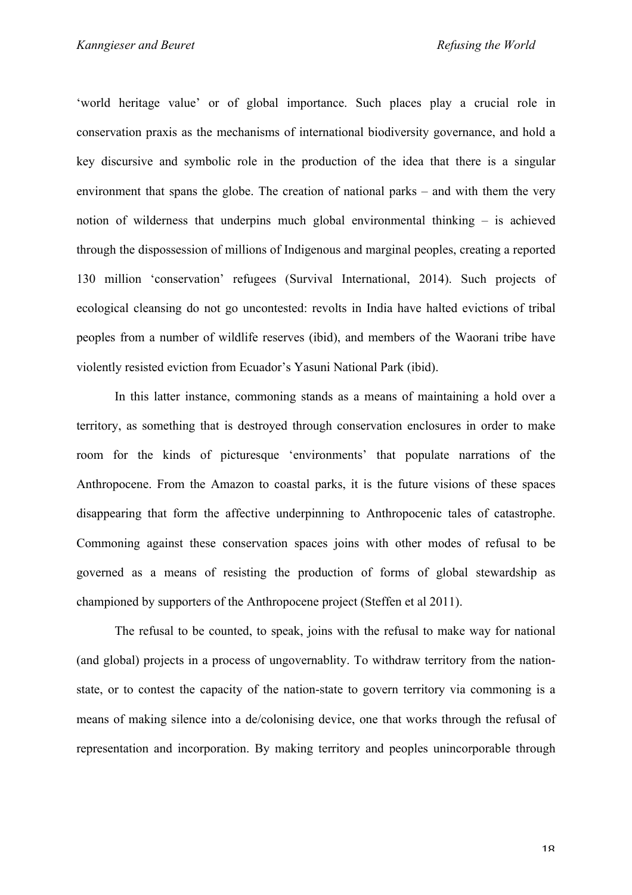'world heritage value' or of global importance. Such places play a crucial role in conservation praxis as the mechanisms of international biodiversity governance, and hold a key discursive and symbolic role in the production of the idea that there is a singular environment that spans the globe. The creation of national parks – and with them the very notion of wilderness that underpins much global environmental thinking – is achieved through the dispossession of millions of Indigenous and marginal peoples, creating a reported 130 million 'conservation' refugees (Survival International, 2014). Such projects of ecological cleansing do not go uncontested: revolts in India have halted evictions of tribal peoples from a number of wildlife reserves (ibid), and members of the Waorani tribe have violently resisted eviction from Ecuador's Yasuni National Park (ibid).

In this latter instance, commoning stands as a means of maintaining a hold over a territory, as something that is destroyed through conservation enclosures in order to make room for the kinds of picturesque 'environments' that populate narrations of the Anthropocene. From the Amazon to coastal parks, it is the future visions of these spaces disappearing that form the affective underpinning to Anthropocenic tales of catastrophe. Commoning against these conservation spaces joins with other modes of refusal to be governed as a means of resisting the production of forms of global stewardship as championed by supporters of the Anthropocene project (Steffen et al 2011).

The refusal to be counted, to speak, joins with the refusal to make way for national (and global) projects in a process of ungovernablity. To withdraw territory from the nationstate, or to contest the capacity of the nation-state to govern territory via commoning is a means of making silence into a de/colonising device, one that works through the refusal of representation and incorporation. By making territory and peoples unincorporable through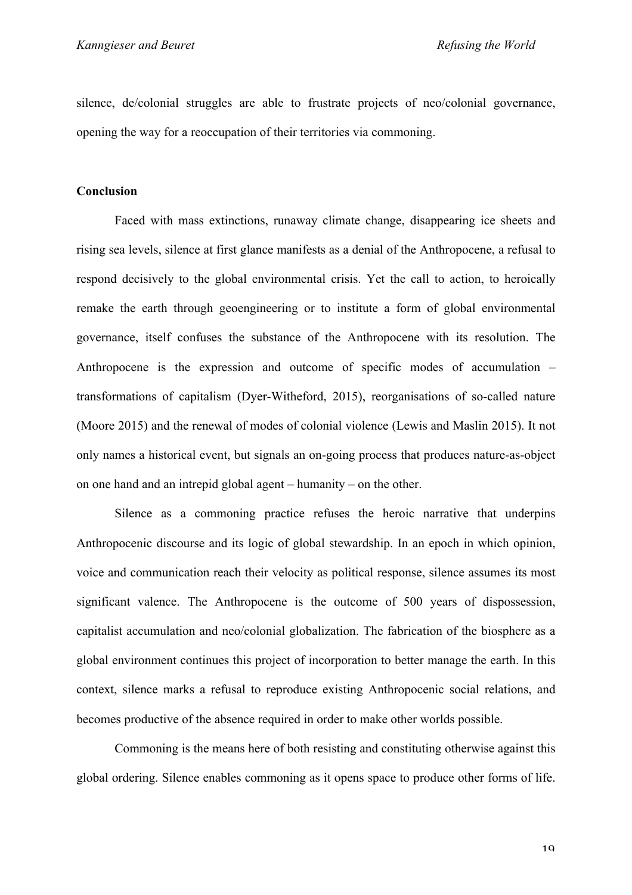silence, de/colonial struggles are able to frustrate projects of neo/colonial governance, opening the way for a reoccupation of their territories via commoning.

## **Conclusion**

Faced with mass extinctions, runaway climate change, disappearing ice sheets and rising sea levels, silence at first glance manifests as a denial of the Anthropocene, a refusal to respond decisively to the global environmental crisis. Yet the call to action, to heroically remake the earth through geoengineering or to institute a form of global environmental governance, itself confuses the substance of the Anthropocene with its resolution. The Anthropocene is the expression and outcome of specific modes of accumulation – transformations of capitalism (Dyer-Witheford, 2015), reorganisations of so-called nature (Moore 2015) and the renewal of modes of colonial violence (Lewis and Maslin 2015). It not only names a historical event, but signals an on-going process that produces nature-as-object on one hand and an intrepid global agent – humanity – on the other.

Silence as a commoning practice refuses the heroic narrative that underpins Anthropocenic discourse and its logic of global stewardship. In an epoch in which opinion, voice and communication reach their velocity as political response, silence assumes its most significant valence. The Anthropocene is the outcome of 500 years of dispossession, capitalist accumulation and neo/colonial globalization. The fabrication of the biosphere as a global environment continues this project of incorporation to better manage the earth. In this context, silence marks a refusal to reproduce existing Anthropocenic social relations, and becomes productive of the absence required in order to make other worlds possible.

Commoning is the means here of both resisting and constituting otherwise against this global ordering. Silence enables commoning as it opens space to produce other forms of life.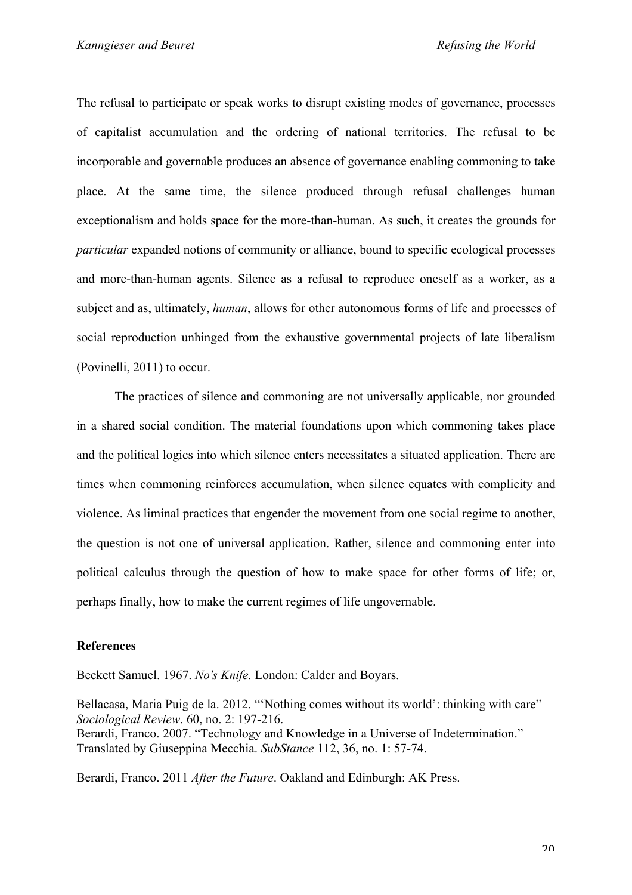The refusal to participate or speak works to disrupt existing modes of governance, processes of capitalist accumulation and the ordering of national territories. The refusal to be incorporable and governable produces an absence of governance enabling commoning to take place. At the same time, the silence produced through refusal challenges human exceptionalism and holds space for the more-than-human. As such, it creates the grounds for *particular* expanded notions of community or alliance, bound to specific ecological processes and more-than-human agents. Silence as a refusal to reproduce oneself as a worker, as a subject and as, ultimately, *human*, allows for other autonomous forms of life and processes of social reproduction unhinged from the exhaustive governmental projects of late liberalism (Povinelli, 2011) to occur.

The practices of silence and commoning are not universally applicable, nor grounded in a shared social condition. The material foundations upon which commoning takes place and the political logics into which silence enters necessitates a situated application. There are times when commoning reinforces accumulation, when silence equates with complicity and violence. As liminal practices that engender the movement from one social regime to another, the question is not one of universal application. Rather, silence and commoning enter into political calculus through the question of how to make space for other forms of life; or, perhaps finally, how to make the current regimes of life ungovernable.

## **References**

Beckett Samuel. 1967. *No's Knife.* London: Calder and Boyars.

Bellacasa, Maria Puig de la. 2012. "'Nothing comes without its world': thinking with care" *Sociological Review*. 60, no. 2: 197-216. Berardi, Franco. 2007. "Technology and Knowledge in a Universe of Indetermination." Translated by Giuseppina Mecchia. *SubStance* 112, 36, no. 1: 57-74.

Berardi, Franco. 2011 *After the Future*. Oakland and Edinburgh: AK Press.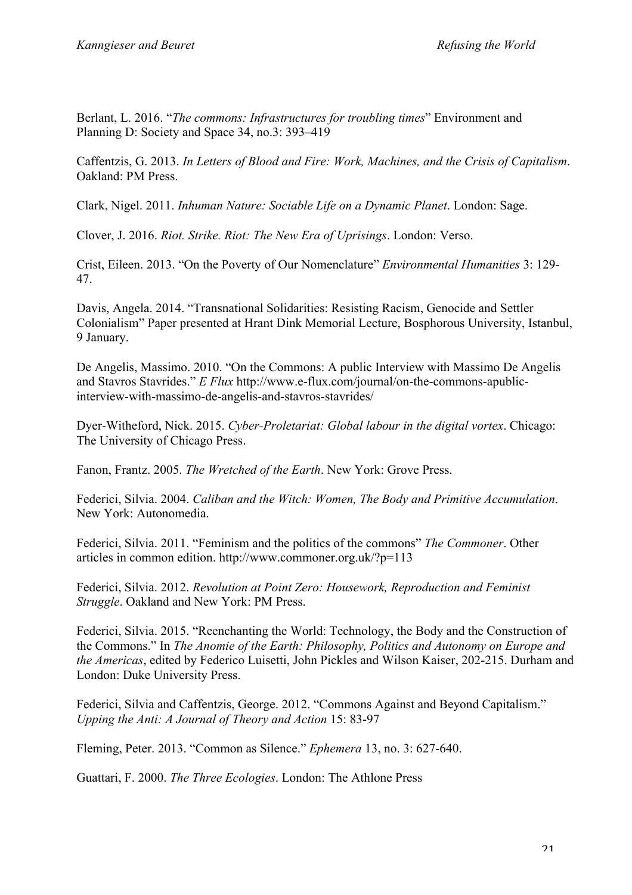Berlant, L. 2016. "*The commons: Infrastructures for troubling times*" Environment and Planning D: Society and Space 34, no.3: 393–419

Caffentzis, G. 2013. *In Letters of Blood and Fire: Work, Machines, and the Crisis of Capitalism*. Oakland: PM Press.

Clark, Nigel. 2011. *Inhuman Nature: Sociable Life on a Dynamic Planet*. London: Sage.

Clover, J. 2016. *Riot. Strike. Riot: The New Era of Uprisings*. London: Verso.

Crist, Eileen. 2013. "On the Poverty of Our Nomenclature" *Environmental Humanities* 3: 129- 47.

Davis, Angela. 2014. "Transnational Solidarities: Resisting Racism, Genocide and Settler Colonialism" Paper presented at Hrant Dink Memorial Lecture, Bosphorous University, Istanbul, 9 January.

De Angelis, Massimo. 2010. "On the Commons: A public Interview with Massimo De Angelis and Stavros Stavrides." *E Flux* http://www.e-flux.com/journal/on-the-commons-apublicinterview-with-massimo-de-angelis-and-stavros-stavrides/

Dyer-Witheford, Nick. 2015. *Cyber-Proletariat: Global labour in the digital vortex*. Chicago: The University of Chicago Press.

Fanon, Frantz. 2005. *The Wretched of the Earth*. New York: Grove Press.

Federici, Silvia. 2004. *Caliban and the Witch: Women, The Body and Primitive Accumulation*. New York: Autonomedia.

Federici, Silvia. 2011. "Feminism and the politics of the commons" *The Commoner*. Other articles in common edition. http://www.commoner.org.uk/?p=113

Federici, Silvia. 2012. *Revolution at Point Zero: Housework, Reproduction and Feminist Struggle*. Oakland and New York: PM Press.

Federici, Silvia. 2015. "Reenchanting the World: Technology, the Body and the Construction of the Commons." In *The Anomie of the Earth: Philosophy, Politics and Autonomy on Europe and the Americas*, edited by Federico Luisetti, John Pickles and Wilson Kaiser, 202-215. Durham and London: Duke University Press.

Federici, Silvia and Caffentzis, George. 2012. "Commons Against and Beyond Capitalism." *Upping the Anti: A Journal of Theory and Action* 15: 83-97

Fleming, Peter. 2013. "Common as Silence." *Ephemera* 13, no. 3: 627-640.

Guattari, F. 2000. *The Three Ecologies*. London: The Athlone Press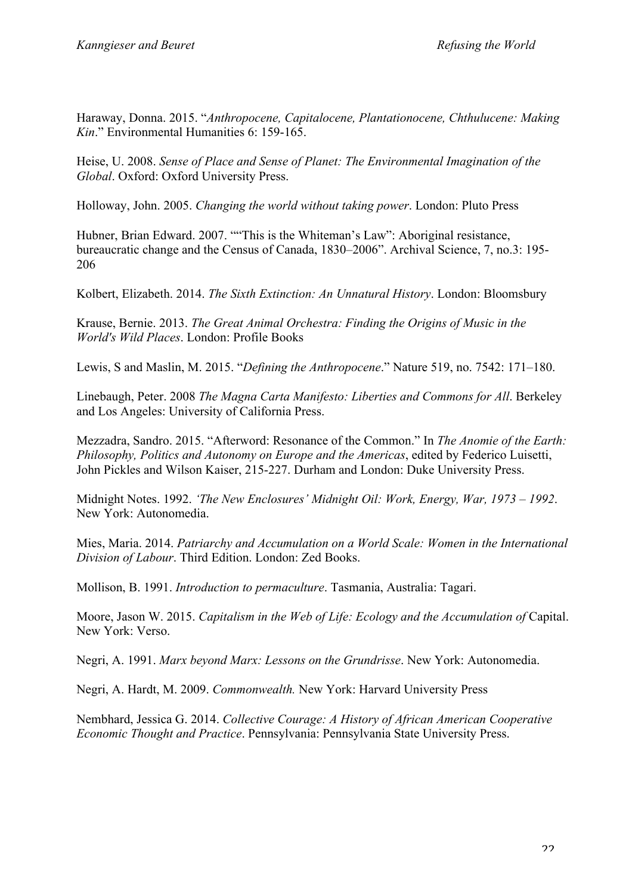Haraway, Donna. 2015. "*Anthropocene, Capitalocene, Plantationocene, Chthulucene: Making Kin*." Environmental Humanities 6: 159-165.

Heise, U. 2008. *Sense of Place and Sense of Planet: The Environmental Imagination of the Global*. Oxford: Oxford University Press.

Holloway, John. 2005. *Changing the world without taking power*. London: Pluto Press

Hubner, Brian Edward. 2007. ""This is the Whiteman's Law": Aboriginal resistance, bureaucratic change and the Census of Canada, 1830–2006". Archival Science, 7, no.3: 195- 206

Kolbert, Elizabeth. 2014. *The Sixth Extinction: An Unnatural History*. London: Bloomsbury

Krause, Bernie. 2013. *The Great Animal Orchestra: Finding the Origins of Music in the World's Wild Places*. London: Profile Books

Lewis, S and Maslin, M. 2015. "*Defining the Anthropocene*." Nature 519, no. 7542: 171–180.

Linebaugh, Peter. 2008 *The Magna Carta Manifesto: Liberties and Commons for All*. Berkeley and Los Angeles: University of California Press.

Mezzadra, Sandro. 2015. "Afterword: Resonance of the Common." In *The Anomie of the Earth: Philosophy, Politics and Autonomy on Europe and the Americas*, edited by Federico Luisetti, John Pickles and Wilson Kaiser, 215-227. Durham and London: Duke University Press.

Midnight Notes. 1992. *'The New Enclosures' Midnight Oil: Work, Energy, War, 1973 – 1992*. New York: Autonomedia.

Mies, Maria. 2014. *Patriarchy and Accumulation on a World Scale: Women in the International Division of Labour*. Third Edition. London: Zed Books.

Mollison, B. 1991. *Introduction to permaculture*. Tasmania, Australia: Tagari.

Moore, Jason W. 2015. *Capitalism in the Web of Life: Ecology and the Accumulation of Capital.* New York: Verso.

Negri, A. 1991. *Marx beyond Marx: Lessons on the Grundrisse*. New York: Autonomedia.

Negri, A. Hardt, M. 2009. *Commonwealth.* New York: Harvard University Press

Nembhard, Jessica G. 2014. *Collective Courage: A History of African American Cooperative Economic Thought and Practice*. Pennsylvania: Pennsylvania State University Press.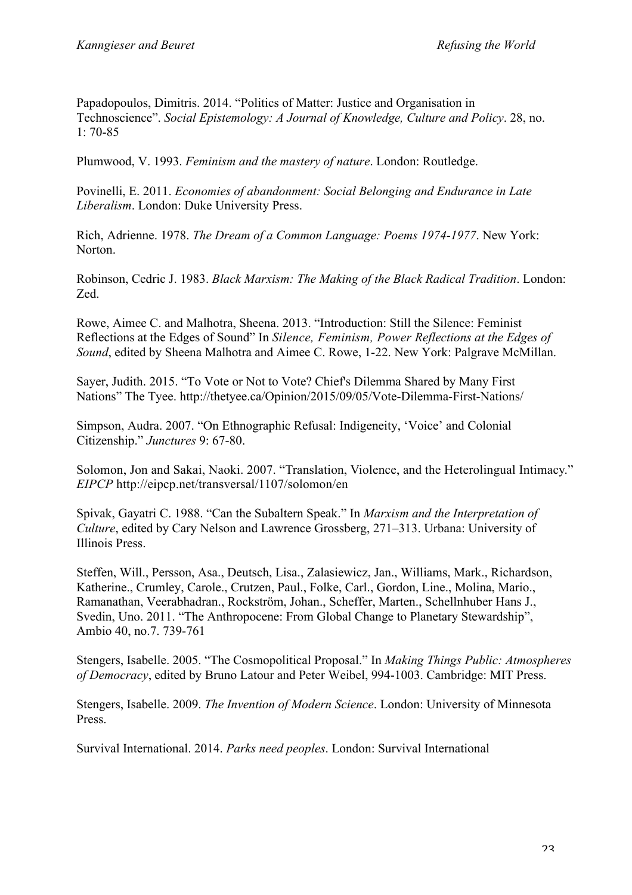Papadopoulos, Dimitris. 2014. "Politics of Matter: Justice and Organisation in Technoscience". *Social Epistemology: A Journal of Knowledge, Culture and Policy*. 28, no. 1: 70-85

Plumwood, V. 1993. *Feminism and the mastery of nature*. London: Routledge.

Povinelli, E. 2011. *Economies of abandonment: Social Belonging and Endurance in Late Liberalism*. London: Duke University Press.

Rich, Adrienne. 1978. *The Dream of a Common Language: Poems 1974-1977*. New York: Norton.

Robinson, Cedric J. 1983. *Black Marxism: The Making of the Black Radical Tradition*. London: Zed.

Rowe, Aimee C. and Malhotra, Sheena. 2013. "Introduction: Still the Silence: Feminist Reflections at the Edges of Sound" In *Silence, Feminism, Power Reflections at the Edges of Sound*, edited by Sheena Malhotra and Aimee C. Rowe, 1-22. New York: Palgrave McMillan.

Sayer, Judith. 2015. "To Vote or Not to Vote? Chief's Dilemma Shared by Many First Nations" The Tyee. http://thetyee.ca/Opinion/2015/09/05/Vote-Dilemma-First-Nations/

Simpson, Audra. 2007. "On Ethnographic Refusal: Indigeneity, 'Voice' and Colonial Citizenship." *Junctures* 9: 67-80.

Solomon, Jon and Sakai, Naoki. 2007. "Translation, Violence, and the Heterolingual Intimacy." *EIPCP* http://eipcp.net/transversal/1107/solomon/en

Spivak, Gayatri C. 1988. "Can the Subaltern Speak." In *Marxism and the Interpretation of Culture*, edited by Cary Nelson and Lawrence Grossberg, 271–313. Urbana: University of Illinois Press.

Steffen, Will., Persson, Asa., Deutsch, Lisa., Zalasiewicz, Jan., Williams, Mark., Richardson, Katherine., Crumley, Carole., Crutzen, Paul., Folke, Carl., Gordon, Line., Molina, Mario., Ramanathan, Veerabhadran., Rockström, Johan., Scheffer, Marten., Schellnhuber Hans J., Svedin, Uno. 2011. "The Anthropocene: From Global Change to Planetary Stewardship", Ambio 40, no.7. 739-761

Stengers, Isabelle. 2005. "The Cosmopolitical Proposal." In *Making Things Public: Atmospheres of Democracy*, edited by Bruno Latour and Peter Weibel, 994-1003. Cambridge: MIT Press.

Stengers, Isabelle. 2009. *The Invention of Modern Science*. London: University of Minnesota Press.

Survival International. 2014. *Parks need peoples*. London: Survival International